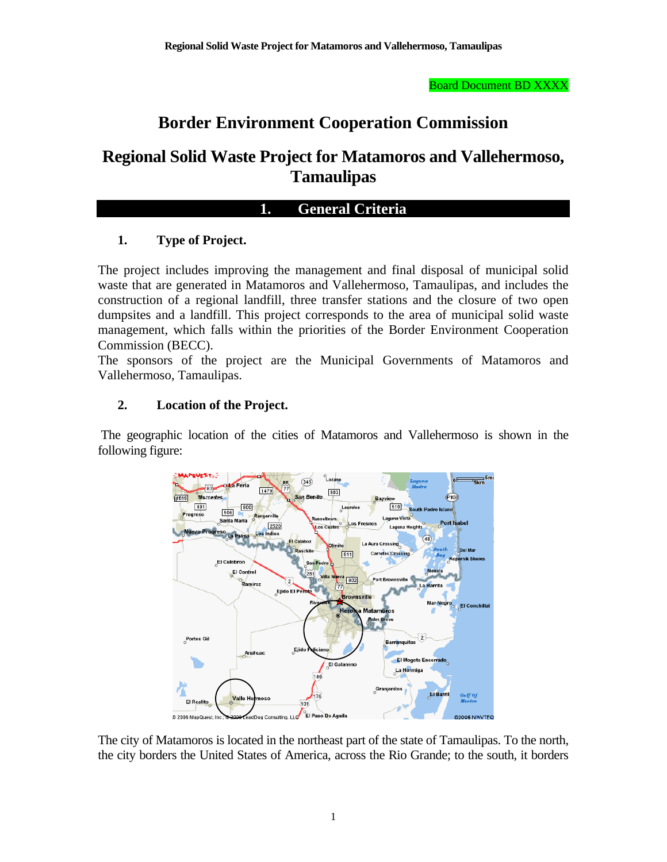Board Document BD XXXX

# **Border Environment Cooperation Commission**

## **Regional Solid Waste Project for Matamoros and Vallehermoso, Tamaulipas**

## **1. General Criteria**

## **1. Type of Project.**

The project includes improving the management and final disposal of municipal solid waste that are generated in Matamoros and Vallehermoso, Tamaulipas, and includes the construction of a regional landfill, three transfer stations and the closure of two open dumpsites and a landfill. This project corresponds to the area of municipal solid waste management, which falls within the priorities of the Border Environment Cooperation Commission (BECC).

The sponsors of the project are the Municipal Governments of Matamoros and Vallehermoso, Tamaulipas.

## **2. Location of the Project.**

 The geographic location of the cities of Matamoros and Vallehermoso is shown in the following figure:



The city of Matamoros is located in the northeast part of the state of Tamaulipas. To the north, the city borders the United States of America, across the Rio Grande; to the south, it borders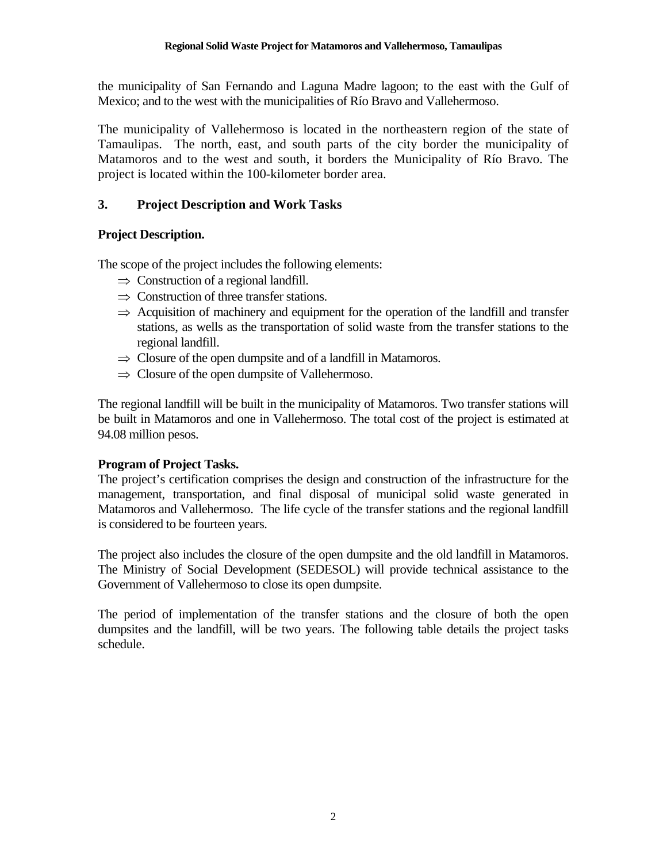the municipality of San Fernando and Laguna Madre lagoon; to the east with the Gulf of Mexico; and to the west with the municipalities of Río Bravo and Vallehermoso.

The municipality of Vallehermoso is located in the northeastern region of the state of Tamaulipas. The north, east, and south parts of the city border the municipality of Matamoros and to the west and south, it borders the Municipality of Río Bravo. The project is located within the 100-kilometer border area.

## **3. Project Description and Work Tasks**

## **Project Description.**

The scope of the project includes the following elements:

- $\Rightarrow$  Construction of a regional landfill.
- $\Rightarrow$  Construction of three transfer stations.
- $\Rightarrow$  Acquisition of machinery and equipment for the operation of the landfill and transfer stations, as wells as the transportation of solid waste from the transfer stations to the regional landfill.
- $\Rightarrow$  Closure of the open dumpsite and of a landfill in Matamoros.
- $\Rightarrow$  Closure of the open dumpsite of Vallehermoso.

The regional landfill will be built in the municipality of Matamoros. Two transfer stations will be built in Matamoros and one in Vallehermoso. The total cost of the project is estimated at 94.08 million pesos.

## **Program of Project Tasks.**

The project's certification comprises the design and construction of the infrastructure for the management, transportation, and final disposal of municipal solid waste generated in Matamoros and Vallehermoso. The life cycle of the transfer stations and the regional landfill is considered to be fourteen years.

The project also includes the closure of the open dumpsite and the old landfill in Matamoros. The Ministry of Social Development (SEDESOL) will provide technical assistance to the Government of Vallehermoso to close its open dumpsite.

The period of implementation of the transfer stations and the closure of both the open dumpsites and the landfill, will be two years. The following table details the project tasks schedule.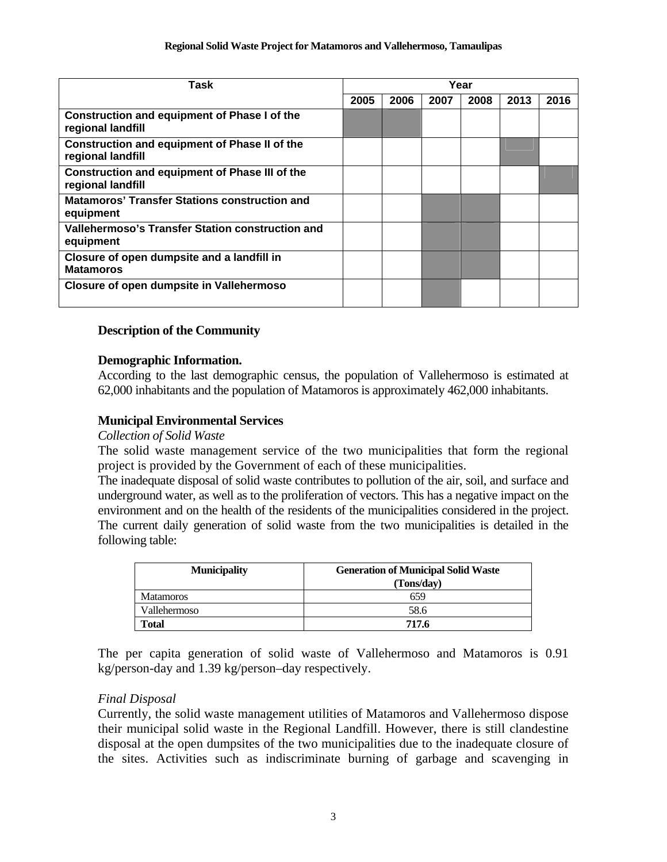#### **Regional Solid Waste Project for Matamoros and Vallehermoso, Tamaulipas**

| Task                                                                       | Year |      |      |      |      |      |
|----------------------------------------------------------------------------|------|------|------|------|------|------|
|                                                                            | 2005 | 2006 | 2007 | 2008 | 2013 | 2016 |
| Construction and equipment of Phase I of the<br>regional landfill          |      |      |      |      |      |      |
| <b>Construction and equipment of Phase II of the</b><br>regional landfill  |      |      |      |      |      |      |
| <b>Construction and equipment of Phase III of the</b><br>regional landfill |      |      |      |      |      |      |
| <b>Matamoros' Transfer Stations construction and</b><br>equipment          |      |      |      |      |      |      |
| Vallehermoso's Transfer Station construction and<br>equipment              |      |      |      |      |      |      |
| Closure of open dumpsite and a landfill in<br><b>Matamoros</b>             |      |      |      |      |      |      |
| Closure of open dumpsite in Vallehermoso                                   |      |      |      |      |      |      |

#### **Description of the Community**

#### **Demographic Information.**

According to the last demographic census, the population of Vallehermoso is estimated at 62,000 inhabitants and the population of Matamoros is approximately 462,000 inhabitants.

#### **Municipal Environmental Services**

*Collection of Solid Waste* 

The solid waste management service of the two municipalities that form the regional project is provided by the Government of each of these municipalities.

The inadequate disposal of solid waste contributes to pollution of the air, soil, and surface and underground water, as well as to the proliferation of vectors. This has a negative impact on the environment and on the health of the residents of the municipalities considered in the project. The current daily generation of solid waste from the two municipalities is detailed in the following table:

| <b>Municipality</b> | <b>Generation of Municipal Solid Waste</b> |  |  |
|---------------------|--------------------------------------------|--|--|
|                     | (Tons/day)                                 |  |  |
| <b>Matamoros</b>    | 659                                        |  |  |
| Vallehermoso        | 58.6                                       |  |  |
| Total               | 717.6                                      |  |  |

The per capita generation of solid waste of Vallehermoso and Matamoros is 0.91 kg/person-day and 1.39 kg/person–day respectively.

#### *Final Disposal*

Currently, the solid waste management utilities of Matamoros and Vallehermoso dispose their municipal solid waste in the Regional Landfill. However, there is still clandestine disposal at the open dumpsites of the two municipalities due to the inadequate closure of the sites. Activities such as indiscriminate burning of garbage and scavenging in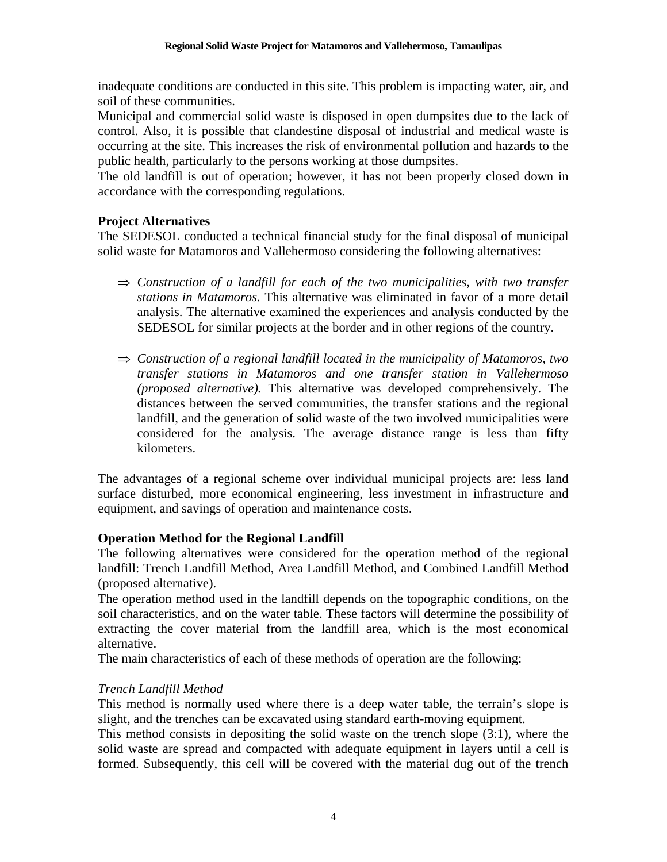inadequate conditions are conducted in this site. This problem is impacting water, air, and soil of these communities.

Municipal and commercial solid waste is disposed in open dumpsites due to the lack of control. Also, it is possible that clandestine disposal of industrial and medical waste is occurring at the site. This increases the risk of environmental pollution and hazards to the public health, particularly to the persons working at those dumpsites.

The old landfill is out of operation; however, it has not been properly closed down in accordance with the corresponding regulations.

#### **Project Alternatives**

The SEDESOL conducted a technical financial study for the final disposal of municipal solid waste for Matamoros and Vallehermoso considering the following alternatives:

- ⇒ *Construction of a landfill for each of the two municipalities, with two transfer stations in Matamoros.* This alternative was eliminated in favor of a more detail analysis. The alternative examined the experiences and analysis conducted by the SEDESOL for similar projects at the border and in other regions of the country.
- ⇒ *Construction of a regional landfill located in the municipality of Matamoros, two transfer stations in Matamoros and one transfer station in Vallehermoso (proposed alternative).* This alternative was developed comprehensively. The distances between the served communities, the transfer stations and the regional landfill, and the generation of solid waste of the two involved municipalities were considered for the analysis. The average distance range is less than fifty kilometers.

The advantages of a regional scheme over individual municipal projects are: less land surface disturbed, more economical engineering, less investment in infrastructure and equipment, and savings of operation and maintenance costs.

#### **Operation Method for the Regional Landfill**

The following alternatives were considered for the operation method of the regional landfill: Trench Landfill Method, Area Landfill Method, and Combined Landfill Method (proposed alternative).

The operation method used in the landfill depends on the topographic conditions, on the soil characteristics, and on the water table. These factors will determine the possibility of extracting the cover material from the landfill area, which is the most economical alternative.

The main characteristics of each of these methods of operation are the following:

#### *Trench Landfill Method*

This method is normally used where there is a deep water table, the terrain's slope is slight, and the trenches can be excavated using standard earth-moving equipment.

This method consists in depositing the solid waste on the trench slope (3:1), where the solid waste are spread and compacted with adequate equipment in layers until a cell is formed. Subsequently, this cell will be covered with the material dug out of the trench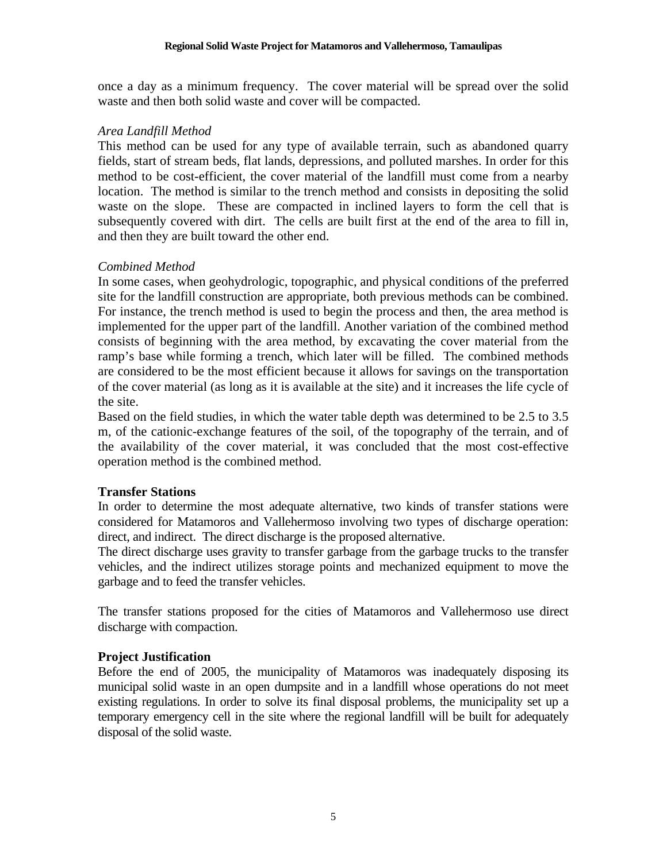once a day as a minimum frequency. The cover material will be spread over the solid waste and then both solid waste and cover will be compacted.

#### *Area Landfill Method*

This method can be used for any type of available terrain, such as abandoned quarry fields, start of stream beds, flat lands, depressions, and polluted marshes. In order for this method to be cost-efficient, the cover material of the landfill must come from a nearby location. The method is similar to the trench method and consists in depositing the solid waste on the slope. These are compacted in inclined layers to form the cell that is subsequently covered with dirt. The cells are built first at the end of the area to fill in, and then they are built toward the other end.

#### *Combined Method*

In some cases, when geohydrologic, topographic, and physical conditions of the preferred site for the landfill construction are appropriate, both previous methods can be combined. For instance, the trench method is used to begin the process and then, the area method is implemented for the upper part of the landfill. Another variation of the combined method consists of beginning with the area method, by excavating the cover material from the ramp's base while forming a trench, which later will be filled. The combined methods are considered to be the most efficient because it allows for savings on the transportation of the cover material (as long as it is available at the site) and it increases the life cycle of the site.

Based on the field studies, in which the water table depth was determined to be 2.5 to 3.5 m, of the cationic-exchange features of the soil, of the topography of the terrain, and of the availability of the cover material, it was concluded that the most cost-effective operation method is the combined method.

#### **Transfer Stations**

In order to determine the most adequate alternative, two kinds of transfer stations were considered for Matamoros and Vallehermoso involving two types of discharge operation: direct, and indirect. The direct discharge is the proposed alternative.

The direct discharge uses gravity to transfer garbage from the garbage trucks to the transfer vehicles, and the indirect utilizes storage points and mechanized equipment to move the garbage and to feed the transfer vehicles.

The transfer stations proposed for the cities of Matamoros and Vallehermoso use direct discharge with compaction.

#### **Project Justification**

Before the end of 2005, the municipality of Matamoros was inadequately disposing its municipal solid waste in an open dumpsite and in a landfill whose operations do not meet existing regulations. In order to solve its final disposal problems, the municipality set up a temporary emergency cell in the site where the regional landfill will be built for adequately disposal of the solid waste.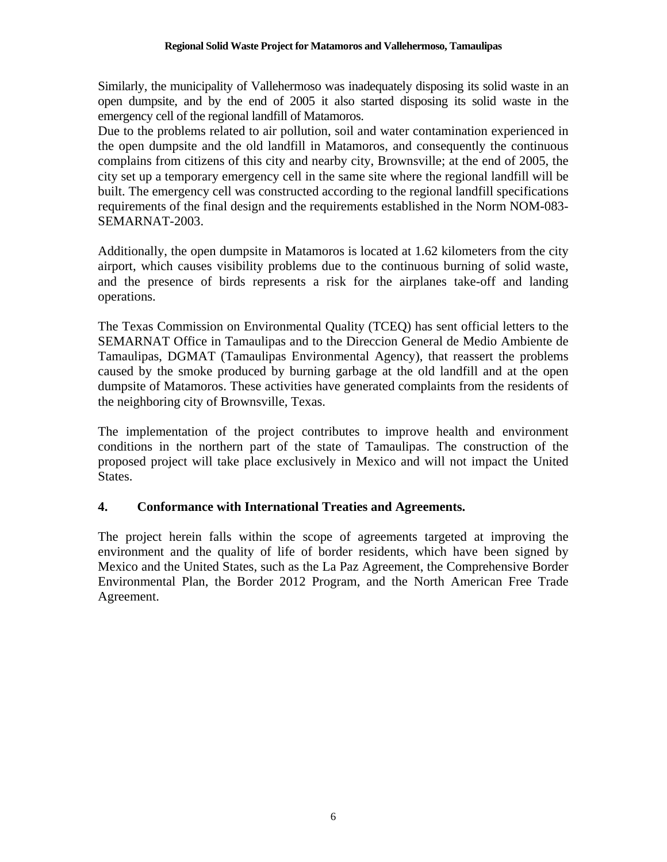Similarly, the municipality of Vallehermoso was inadequately disposing its solid waste in an open dumpsite, and by the end of 2005 it also started disposing its solid waste in the emergency cell of the regional landfill of Matamoros.

Due to the problems related to air pollution, soil and water contamination experienced in the open dumpsite and the old landfill in Matamoros, and consequently the continuous complains from citizens of this city and nearby city, Brownsville; at the end of 2005, the city set up a temporary emergency cell in the same site where the regional landfill will be built. The emergency cell was constructed according to the regional landfill specifications requirements of the final design and the requirements established in the Norm NOM-083- SEMARNAT-2003.

Additionally, the open dumpsite in Matamoros is located at 1.62 kilometers from the city airport, which causes visibility problems due to the continuous burning of solid waste, and the presence of birds represents a risk for the airplanes take-off and landing operations.

The Texas Commission on Environmental Quality (TCEQ) has sent official letters to the SEMARNAT Office in Tamaulipas and to the Direccion General de Medio Ambiente de Tamaulipas, DGMAT (Tamaulipas Environmental Agency), that reassert the problems caused by the smoke produced by burning garbage at the old landfill and at the open dumpsite of Matamoros. These activities have generated complaints from the residents of the neighboring city of Brownsville, Texas.

The implementation of the project contributes to improve health and environment conditions in the northern part of the state of Tamaulipas. The construction of the proposed project will take place exclusively in Mexico and will not impact the United States.

## **4. Conformance with International Treaties and Agreements.**

The project herein falls within the scope of agreements targeted at improving the environment and the quality of life of border residents, which have been signed by Mexico and the United States, such as the La Paz Agreement, the Comprehensive Border Environmental Plan, the Border 2012 Program, and the North American Free Trade Agreement.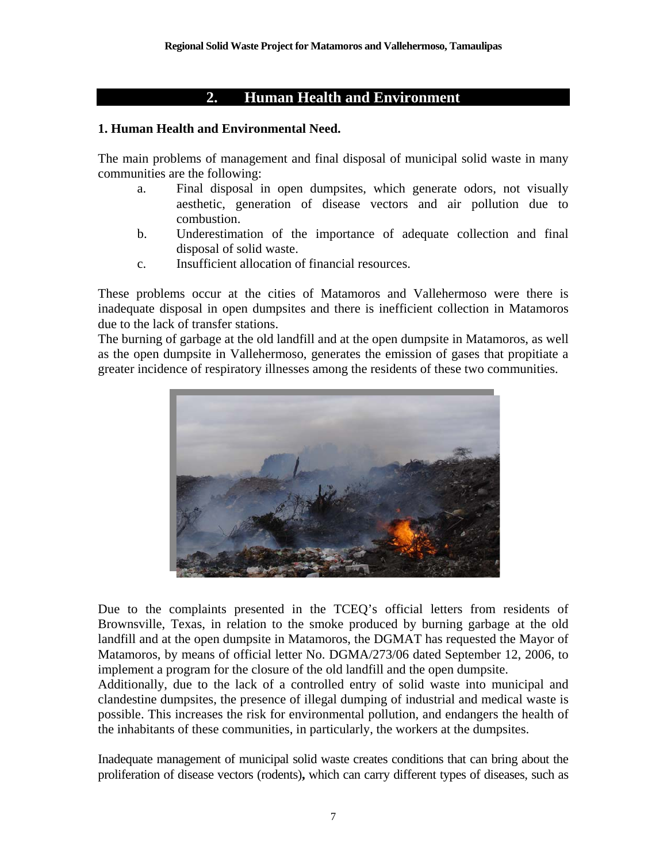## **2. Human Health and Environment**

#### **1. Human Health and Environmental Need.**

The main problems of management and final disposal of municipal solid waste in many communities are the following:

- a. Final disposal in open dumpsites, which generate odors, not visually aesthetic, generation of disease vectors and air pollution due to combustion.
- b. Underestimation of the importance of adequate collection and final disposal of solid waste.
- c. Insufficient allocation of financial resources.

These problems occur at the cities of Matamoros and Vallehermoso were there is inadequate disposal in open dumpsites and there is inefficient collection in Matamoros due to the lack of transfer stations.

The burning of garbage at the old landfill and at the open dumpsite in Matamoros, as well as the open dumpsite in Vallehermoso, generates the emission of gases that propitiate a greater incidence of respiratory illnesses among the residents of these two communities.



Due to the complaints presented in the TCEQ's official letters from residents of Brownsville, Texas, in relation to the smoke produced by burning garbage at the old landfill and at the open dumpsite in Matamoros, the DGMAT has requested the Mayor of Matamoros, by means of official letter No. DGMA/273/06 dated September 12, 2006, to implement a program for the closure of the old landfill and the open dumpsite.

Additionally, due to the lack of a controlled entry of solid waste into municipal and clandestine dumpsites, the presence of illegal dumping of industrial and medical waste is possible. This increases the risk for environmental pollution, and endangers the health of the inhabitants of these communities, in particularly, the workers at the dumpsites.

Inadequate management of municipal solid waste creates conditions that can bring about the proliferation of disease vectors (rodents)**,** which can carry different types of diseases, such as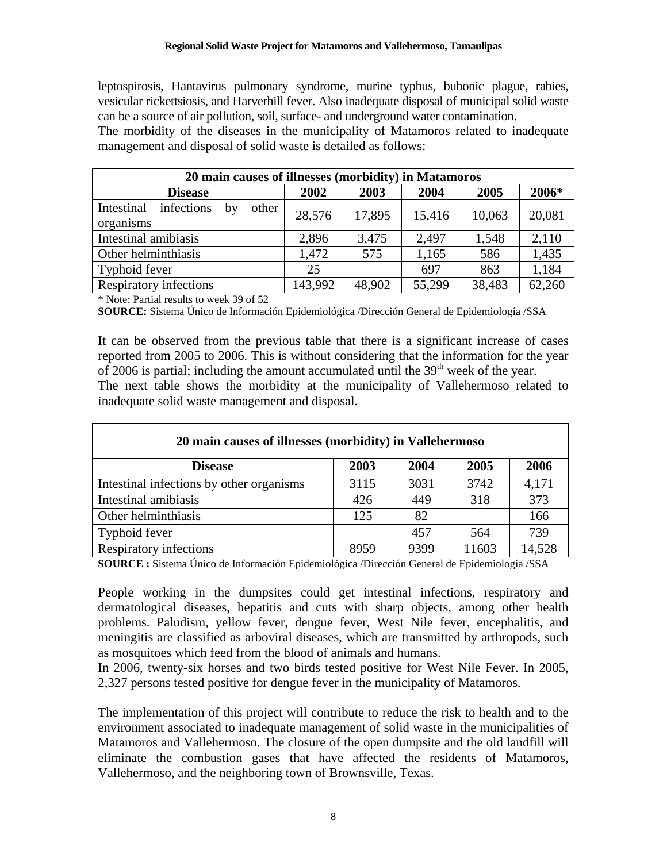leptospirosis, Hantavirus pulmonary syndrome, murine typhus, bubonic plague, rabies, vesicular rickettsiosis, and Harverhill fever. Also inadequate disposal of municipal solid waste can be a source of air pollution, soil, surface- and underground water contamination.

The morbidity of the diseases in the municipality of Matamoros related to inadequate management and disposal of solid waste is detailed as follows:

| 20 main causes of illnesses (morbidity) in Matamoros |         |        |        |        |        |
|------------------------------------------------------|---------|--------|--------|--------|--------|
| <b>Disease</b>                                       | 2002    | 2003   | 2004   | 2005   | 2006*  |
| infections<br>Intestinal<br>other<br>by<br>organisms | 28,576  | 17,895 | 15,416 | 10,063 | 20,081 |
| Intestinal amibiasis                                 | 2,896   | 3,475  | 2,497  | 1,548  | 2,110  |
| Other helminthiasis                                  | 1,472   | 575    | 1,165  | 586    | 1,435  |
| Typhoid fever                                        | 25      |        | 697    | 863    | 1,184  |
| Respiratory infections                               | 143,992 | 48,902 | 55,299 | 38,483 | 62,260 |

\* Note: Partial results to week 39 of 52

**SOURCE:** Sistema Único de Información Epidemiológica /Dirección General de Epidemiología /SSA

It can be observed from the previous table that there is a significant increase of cases reported from 2005 to 2006. This is without considering that the information for the year of 2006 is partial; including the amount accumulated until the  $39<sup>th</sup>$  week of the year.

The next table shows the morbidity at the municipality of Vallehermoso related to inadequate solid waste management and disposal.

| 20 main causes of illnesses (morbidity) in Vallehermoso |      |      |       |        |  |
|---------------------------------------------------------|------|------|-------|--------|--|
| <b>Disease</b>                                          | 2003 | 2004 | 2005  | 2006   |  |
| Intestinal infections by other organisms                | 3115 | 3031 | 3742  | 4,171  |  |
| Intestinal amibiasis                                    | 426  | 449  | 318   | 373    |  |
| Other helminthiasis                                     | 125  | 82   |       | 166    |  |
| Typhoid fever                                           |      | 457  | 564   | 739    |  |
| Respiratory infections                                  | 8959 | 9399 | 11603 | 14,528 |  |

**SOURCE :** Sistema Único de Información Epidemiológica /Dirección General de Epidemiología /SSA

People working in the dumpsites could get intestinal infections, respiratory and dermatological diseases, hepatitis and cuts with sharp objects, among other health problems. Paludism, yellow fever, dengue fever, West Nile fever, encephalitis, and meningitis are classified as arboviral diseases, which are transmitted by arthropods, such as mosquitoes which feed from the blood of animals and humans.

In 2006, twenty-six horses and two birds tested positive for West Nile Fever. In 2005, 2,327 persons tested positive for dengue fever in the municipality of Matamoros.

The implementation of this project will contribute to reduce the risk to health and to the environment associated to inadequate management of solid waste in the municipalities of Matamoros and Vallehermoso. The closure of the open dumpsite and the old landfill will eliminate the combustion gases that have affected the residents of Matamoros, Vallehermoso, and the neighboring town of Brownsville, Texas.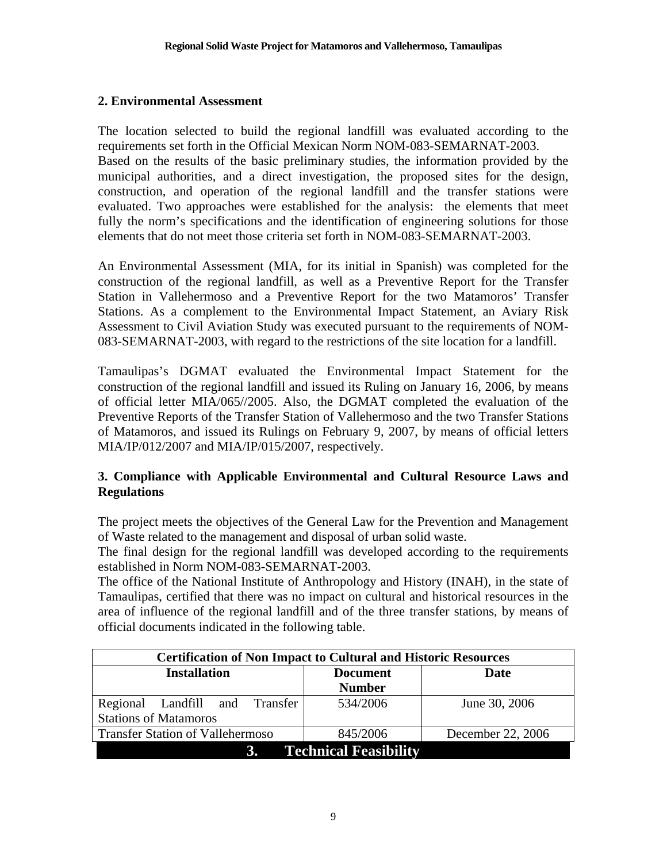## **2. Environmental Assessment**

The location selected to build the regional landfill was evaluated according to the requirements set forth in the Official Mexican Norm NOM-083-SEMARNAT-2003. Based on the results of the basic preliminary studies, the information provided by the municipal authorities, and a direct investigation, the proposed sites for the design, construction, and operation of the regional landfill and the transfer stations were evaluated. Two approaches were established for the analysis: the elements that meet fully the norm's specifications and the identification of engineering solutions for those elements that do not meet those criteria set forth in NOM-083-SEMARNAT-2003.

An Environmental Assessment (MIA, for its initial in Spanish) was completed for the construction of the regional landfill, as well as a Preventive Report for the Transfer Station in Vallehermoso and a Preventive Report for the two Matamoros' Transfer Stations. As a complement to the Environmental Impact Statement, an Aviary Risk Assessment to Civil Aviation Study was executed pursuant to the requirements of NOM-083-SEMARNAT-2003, with regard to the restrictions of the site location for a landfill.

Tamaulipas's DGMAT evaluated the Environmental Impact Statement for the construction of the regional landfill and issued its Ruling on January 16, 2006, by means of official letter MIA/065//2005. Also, the DGMAT completed the evaluation of the Preventive Reports of the Transfer Station of Vallehermoso and the two Transfer Stations of Matamoros, and issued its Rulings on February 9, 2007, by means of official letters MIA/IP/012/2007 and MIA/IP/015/2007, respectively.

## **3. Compliance with Applicable Environmental and Cultural Resource Laws and Regulations**

The project meets the objectives of the General Law for the Prevention and Management of Waste related to the management and disposal of urban solid waste.

The final design for the regional landfill was developed according to the requirements established in Norm NOM-083-SEMARNAT-2003.

The office of the National Institute of Anthropology and History (INAH), in the state of Tamaulipas, certified that there was no impact on cultural and historical resources in the area of influence of the regional landfill and of the three transfer stations, by means of official documents indicated in the following table.

| <b>Certification of Non Impact to Cultural and Historic Resources</b> |                 |                   |  |  |
|-----------------------------------------------------------------------|-----------------|-------------------|--|--|
| <b>Installation</b>                                                   | <b>Document</b> | Date              |  |  |
|                                                                       | <b>Number</b>   |                   |  |  |
| Regional Landfill and Transfer                                        | 534/2006        | June 30, 2006     |  |  |
| <b>Stations of Matamoros</b>                                          |                 |                   |  |  |
| <b>Transfer Station of Vallehermoso</b>                               | 845/2006        | December 22, 2006 |  |  |
| <b>3.</b> Technical Feasibility                                       |                 |                   |  |  |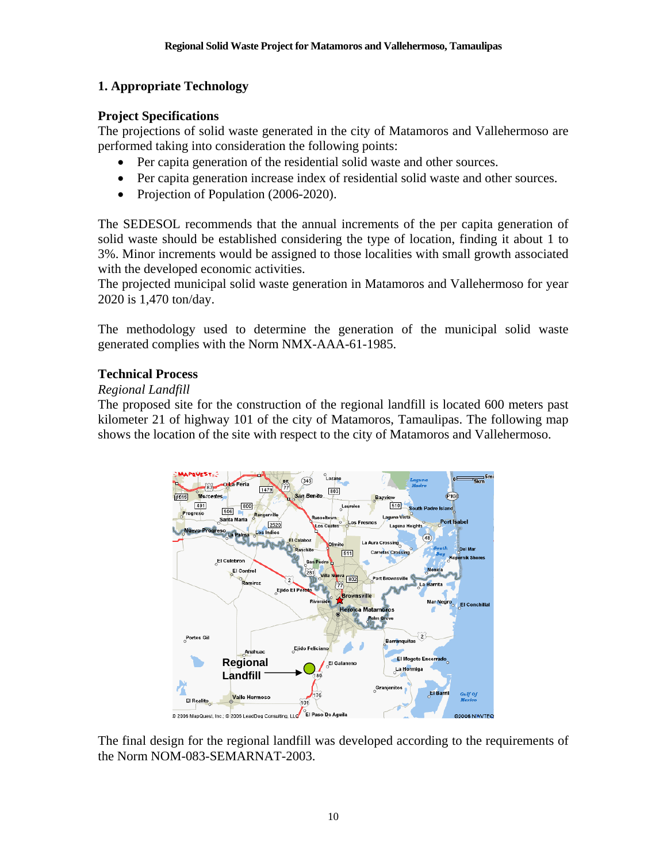## **1. Appropriate Technology**

## **Project Specifications**

The projections of solid waste generated in the city of Matamoros and Vallehermoso are performed taking into consideration the following points:

- Per capita generation of the residential solid waste and other sources.
- Per capita generation increase index of residential solid waste and other sources.
- Projection of Population (2006-2020).

The SEDESOL recommends that the annual increments of the per capita generation of solid waste should be established considering the type of location, finding it about 1 to 3%. Minor increments would be assigned to those localities with small growth associated with the developed economic activities.

The projected municipal solid waste generation in Matamoros and Vallehermoso for year 2020 is 1,470 ton/day.

The methodology used to determine the generation of the municipal solid waste generated complies with the Norm NMX-AAA-61-1985.

## **Technical Process**

#### *Regional Landfill*

The proposed site for the construction of the regional landfill is located 600 meters past kilometer 21 of highway 101 of the city of Matamoros, Tamaulipas. The following map shows the location of the site with respect to the city of Matamoros and Vallehermoso.



The final design for the regional landfill was developed according to the requirements of the Norm NOM-083-SEMARNAT-2003.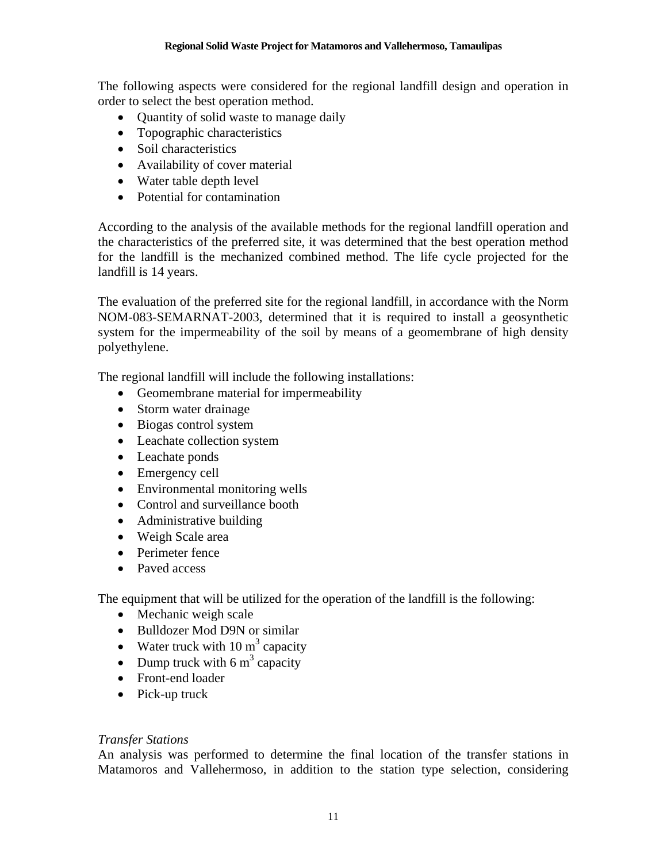The following aspects were considered for the regional landfill design and operation in order to select the best operation method.

- Quantity of solid waste to manage daily
- Topographic characteristics
- Soil characteristics
- Availability of cover material
- Water table depth level
- Potential for contamination

According to the analysis of the available methods for the regional landfill operation and the characteristics of the preferred site, it was determined that the best operation method for the landfill is the mechanized combined method. The life cycle projected for the landfill is 14 years.

The evaluation of the preferred site for the regional landfill, in accordance with the Norm NOM-083-SEMARNAT-2003, determined that it is required to install a geosynthetic system for the impermeability of the soil by means of a geomembrane of high density polyethylene.

The regional landfill will include the following installations:

- Geomembrane material for impermeability
- Storm water drainage
- Biogas control system
- Leachate collection system
- Leachate ponds
- Emergency cell
- Environmental monitoring wells
- Control and surveillance booth
- Administrative building
- Weigh Scale area
- Perimeter fence
- Paved access

The equipment that will be utilized for the operation of the landfill is the following:

- Mechanic weigh scale
- Bulldozer Mod D9N or similar
- Water truck with  $10 \text{ m}^3$  capacity
- Dump truck with 6  $m^3$  capacity
- Front-end loader
- Pick-up truck

## *Transfer Stations*

An analysis was performed to determine the final location of the transfer stations in Matamoros and Vallehermoso, in addition to the station type selection, considering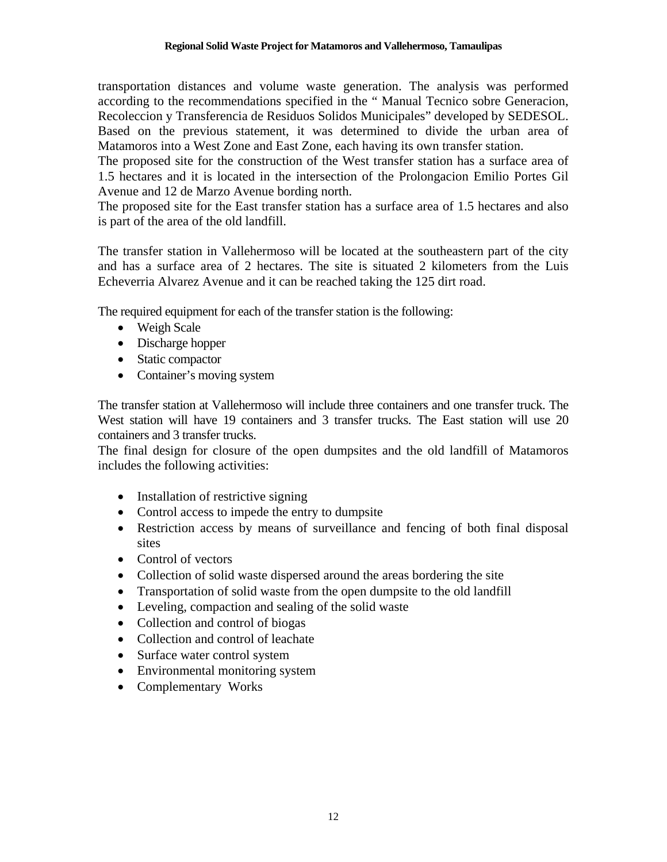transportation distances and volume waste generation. The analysis was performed according to the recommendations specified in the " Manual Tecnico sobre Generacion, Recoleccion y Transferencia de Residuos Solidos Municipales" developed by SEDESOL. Based on the previous statement, it was determined to divide the urban area of Matamoros into a West Zone and East Zone, each having its own transfer station.

The proposed site for the construction of the West transfer station has a surface area of 1.5 hectares and it is located in the intersection of the Prolongacion Emilio Portes Gil Avenue and 12 de Marzo Avenue bording north.

The proposed site for the East transfer station has a surface area of 1.5 hectares and also is part of the area of the old landfill.

The transfer station in Vallehermoso will be located at the southeastern part of the city and has a surface area of 2 hectares. The site is situated 2 kilometers from the Luis Echeverria Alvarez Avenue and it can be reached taking the 125 dirt road.

The required equipment for each of the transfer station is the following:

- Weigh Scale
- Discharge hopper
- Static compactor
- Container's moving system

The transfer station at Vallehermoso will include three containers and one transfer truck. The West station will have 19 containers and 3 transfer trucks. The East station will use 20 containers and 3 transfer trucks.

The final design for closure of the open dumpsites and the old landfill of Matamoros includes the following activities:

- Installation of restrictive signing
- Control access to impede the entry to dumpsite
- Restriction access by means of surveillance and fencing of both final disposal sites
- Control of vectors
- Collection of solid waste dispersed around the areas bordering the site
- Transportation of solid waste from the open dumpsite to the old landfill
- Leveling, compaction and sealing of the solid waste
- Collection and control of biogas
- Collection and control of leachate
- Surface water control system
- Environmental monitoring system
- Complementary Works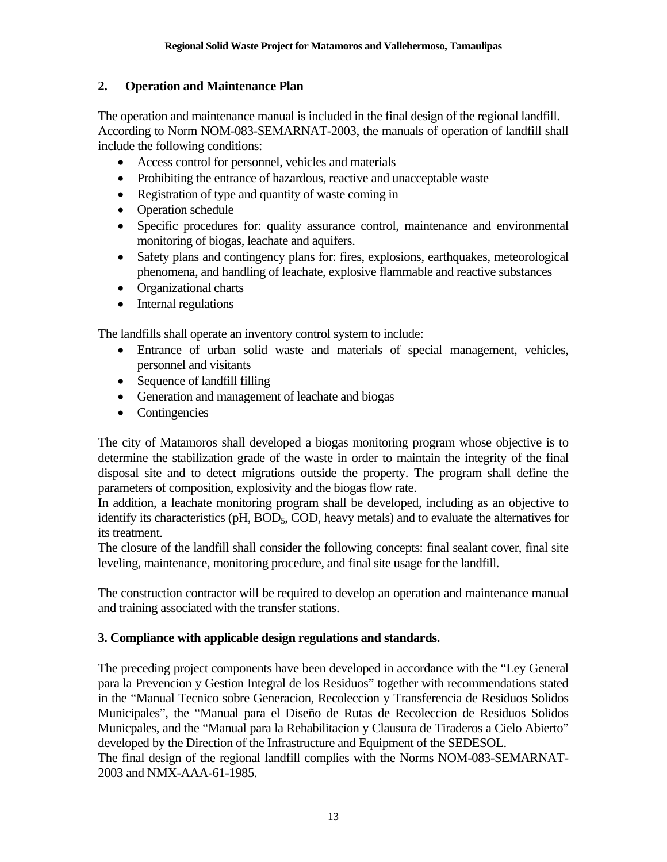## **2. Operation and Maintenance Plan**

The operation and maintenance manual is included in the final design of the regional landfill. According to Norm NOM-083-SEMARNAT-2003, the manuals of operation of landfill shall include the following conditions:

- Access control for personnel, vehicles and materials
- Prohibiting the entrance of hazardous, reactive and unacceptable waste
- Registration of type and quantity of waste coming in
- Operation schedule
- Specific procedures for: quality assurance control, maintenance and environmental monitoring of biogas, leachate and aquifers.
- Safety plans and contingency plans for: fires, explosions, earthquakes, meteorological phenomena, and handling of leachate, explosive flammable and reactive substances
- Organizational charts
- Internal regulations

The landfills shall operate an inventory control system to include:

- Entrance of urban solid waste and materials of special management, vehicles, personnel and visitants
- Sequence of landfill filling
- Generation and management of leachate and biogas
- Contingencies

The city of Matamoros shall developed a biogas monitoring program whose objective is to determine the stabilization grade of the waste in order to maintain the integrity of the final disposal site and to detect migrations outside the property. The program shall define the parameters of composition, explosivity and the biogas flow rate.

In addition, a leachate monitoring program shall be developed, including as an objective to identify its characteristics ( $pH$ ,  $BOD<sub>5</sub>$ , COD, heavy metals) and to evaluate the alternatives for its treatment.

The closure of the landfill shall consider the following concepts: final sealant cover, final site leveling, maintenance, monitoring procedure, and final site usage for the landfill.

The construction contractor will be required to develop an operation and maintenance manual and training associated with the transfer stations.

## **3. Compliance with applicable design regulations and standards.**

The preceding project components have been developed in accordance with the "Ley General para la Prevencion y Gestion Integral de los Residuos" together with recommendations stated in the "Manual Tecnico sobre Generacion, Recoleccion y Transferencia de Residuos Solidos Municipales", the "Manual para el Diseño de Rutas de Recoleccion de Residuos Solidos Municpales, and the "Manual para la Rehabilitacion y Clausura de Tiraderos a Cielo Abierto" developed by the Direction of the Infrastructure and Equipment of the SEDESOL.

The final design of the regional landfill complies with the Norms NOM-083-SEMARNAT-2003 and NMX-AAA-61-1985.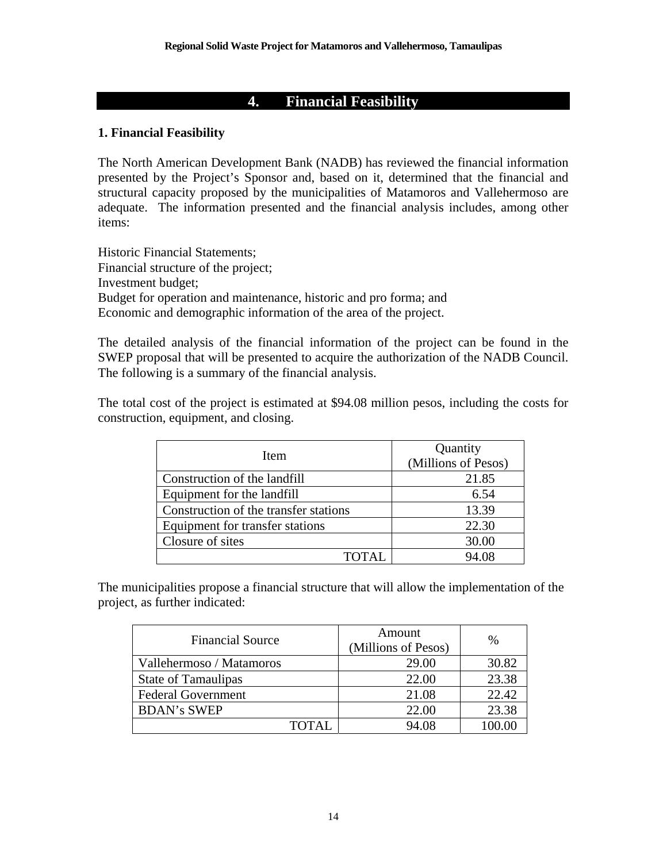## **4. Financial Feasibility**

#### **1. Financial Feasibility**

The North American Development Bank (NADB) has reviewed the financial information presented by the Project's Sponsor and, based on it, determined that the financial and structural capacity proposed by the municipalities of Matamoros and Vallehermoso are adequate. The information presented and the financial analysis includes, among other items:

Historic Financial Statements; Financial structure of the project; Investment budget; Budget for operation and maintenance, historic and pro forma; and Economic and demographic information of the area of the project.

The detailed analysis of the financial information of the project can be found in the SWEP proposal that will be presented to acquire the authorization of the NADB Council. The following is a summary of the financial analysis.

The total cost of the project is estimated at \$94.08 million pesos, including the costs for construction, equipment, and closing.

| Item                                  | Quantity<br>(Millions of Pesos) |  |  |
|---------------------------------------|---------------------------------|--|--|
| Construction of the landfill          | 21.85                           |  |  |
| Equipment for the landfill            | 6.54                            |  |  |
| Construction of the transfer stations | 13.39                           |  |  |
| Equipment for transfer stations       | 22.30                           |  |  |
| Closure of sites                      | 30.00                           |  |  |
| 'OTAL                                 | 94 N8                           |  |  |

The municipalities propose a financial structure that will allow the implementation of the project, as further indicated:

| <b>Financial Source</b>    | Amount<br>(Millions of Pesos) | $\frac{0}{0}$ |
|----------------------------|-------------------------------|---------------|
| Vallehermoso / Matamoros   | 29.00                         | 30.82         |
| <b>State of Tamaulipas</b> | 22.00                         | 23.38         |
| <b>Federal Government</b>  | 21.08                         | 22.42         |
| <b>BDAN's SWEP</b>         | 22.00                         | 23.38         |
| LOTAL.                     | 94.08                         |               |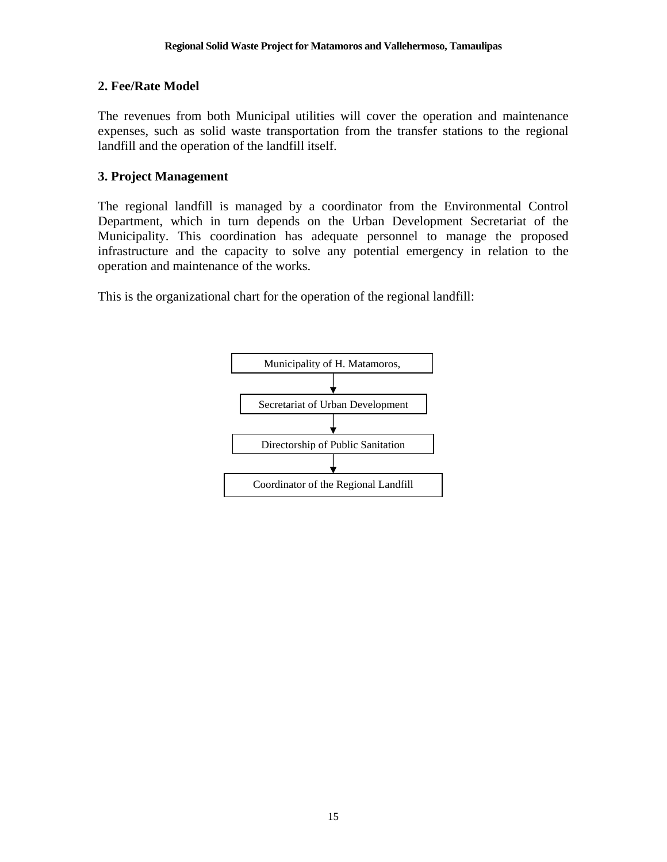## **2. Fee/Rate Model**

The revenues from both Municipal utilities will cover the operation and maintenance expenses, such as solid waste transportation from the transfer stations to the regional landfill and the operation of the landfill itself.

#### **3. Project Management**

The regional landfill is managed by a coordinator from the Environmental Control Department, which in turn depends on the Urban Development Secretariat of the Municipality. This coordination has adequate personnel to manage the proposed infrastructure and the capacity to solve any potential emergency in relation to the operation and maintenance of the works.

This is the organizational chart for the operation of the regional landfill:

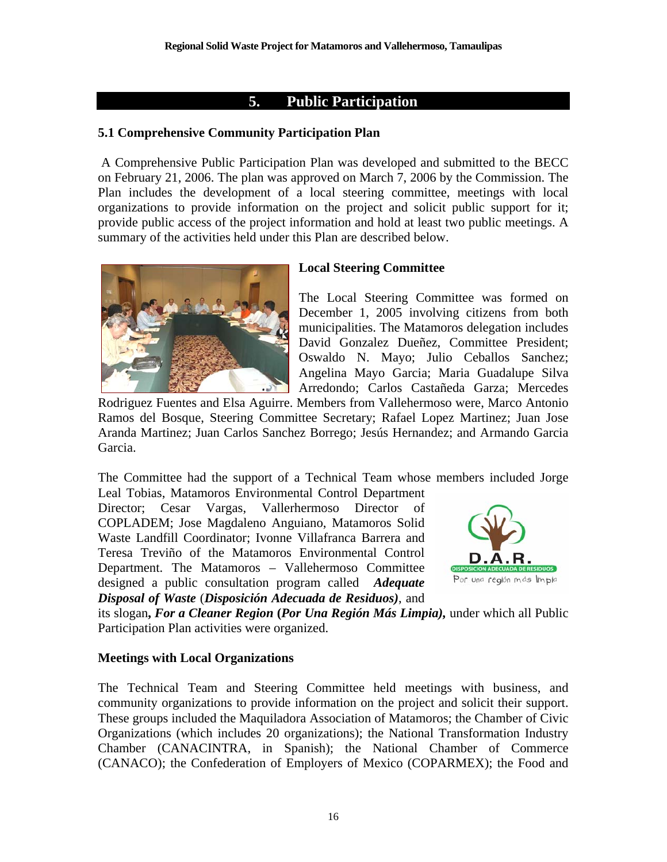## **5. Public Participation**

#### **5.1 Comprehensive Community Participation Plan**

 A Comprehensive Public Participation Plan was developed and submitted to the BECC on February 21, 2006. The plan was approved on March 7, 2006 by the Commission. The Plan includes the development of a local steering committee, meetings with local organizations to provide information on the project and solicit public support for it; provide public access of the project information and hold at least two public meetings. A summary of the activities held under this Plan are described below.



#### **Local Steering Committee**

The Local Steering Committee was formed on December 1, 2005 involving citizens from both municipalities. The Matamoros delegation includes David Gonzalez Dueñez, Committee President; Oswaldo N. Mayo; Julio Ceballos Sanchez; Angelina Mayo Garcia; Maria Guadalupe Silva Arredondo; Carlos Castañeda Garza; Mercedes

Rodriguez Fuentes and Elsa Aguirre. Members from Vallehermoso were, Marco Antonio Ramos del Bosque, Steering Committee Secretary; Rafael Lopez Martinez; Juan Jose Aranda Martinez; Juan Carlos Sanchez Borrego; Jesús Hernandez; and Armando Garcia Garcia.

The Committee had the support of a Technical Team whose members included Jorge Leal Tobias, Matamoros Environmental Control Department

Director; Cesar Vargas, Vallerhermoso Director of COPLADEM; Jose Magdaleno Anguiano, Matamoros Solid Waste Landfill Coordinator; Ivonne Villafranca Barrera and Teresa Treviño of the Matamoros Environmental Control Department. The Matamoros – Vallehermoso Committee designed a public consultation program called *Adequate Disposal of Waste* (*Disposición Adecuada de Residuos)*, and



its slogan**,** *For a Cleaner Region* **(***Por Una Región Más Limpia),* under which all Public Participation Plan activities were organized.

#### **Meetings with Local Organizations**

The Technical Team and Steering Committee held meetings with business, and community organizations to provide information on the project and solicit their support. These groups included the Maquiladora Association of Matamoros; the Chamber of Civic Organizations (which includes 20 organizations); the National Transformation Industry Chamber (CANACINTRA, in Spanish); the National Chamber of Commerce (CANACO); the Confederation of Employers of Mexico (COPARMEX); the Food and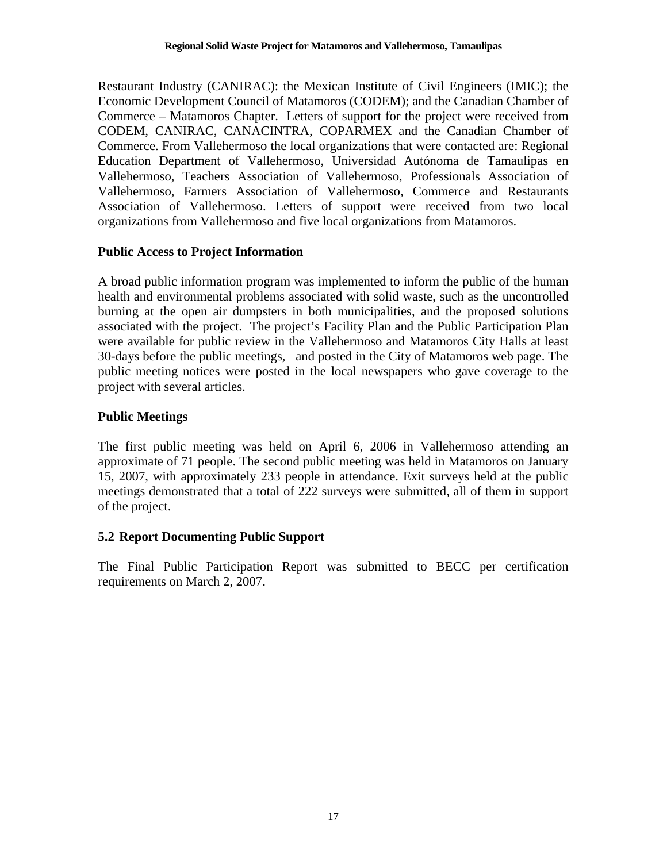Restaurant Industry (CANIRAC): the Mexican Institute of Civil Engineers (IMIC); the Economic Development Council of Matamoros (CODEM); and the Canadian Chamber of Commerce – Matamoros Chapter. Letters of support for the project were received from CODEM, CANIRAC, CANACINTRA, COPARMEX and the Canadian Chamber of Commerce. From Vallehermoso the local organizations that were contacted are: Regional Education Department of Vallehermoso, Universidad Autónoma de Tamaulipas en Vallehermoso, Teachers Association of Vallehermoso, Professionals Association of Vallehermoso, Farmers Association of Vallehermoso, Commerce and Restaurants Association of Vallehermoso. Letters of support were received from two local organizations from Vallehermoso and five local organizations from Matamoros.

## **Public Access to Project Information**

A broad public information program was implemented to inform the public of the human health and environmental problems associated with solid waste, such as the uncontrolled burning at the open air dumpsters in both municipalities, and the proposed solutions associated with the project. The project's Facility Plan and the Public Participation Plan were available for public review in the Vallehermoso and Matamoros City Halls at least 30-days before the public meetings, and posted in the City of Matamoros web page. The public meeting notices were posted in the local newspapers who gave coverage to the project with several articles.

#### **Public Meetings**

The first public meeting was held on April 6, 2006 in Vallehermoso attending an approximate of 71 people. The second public meeting was held in Matamoros on January 15, 2007, with approximately 233 people in attendance. Exit surveys held at the public meetings demonstrated that a total of 222 surveys were submitted, all of them in support of the project.

## **5.2 Report Documenting Public Support**

The Final Public Participation Report was submitted to BECC per certification requirements on March 2, 2007.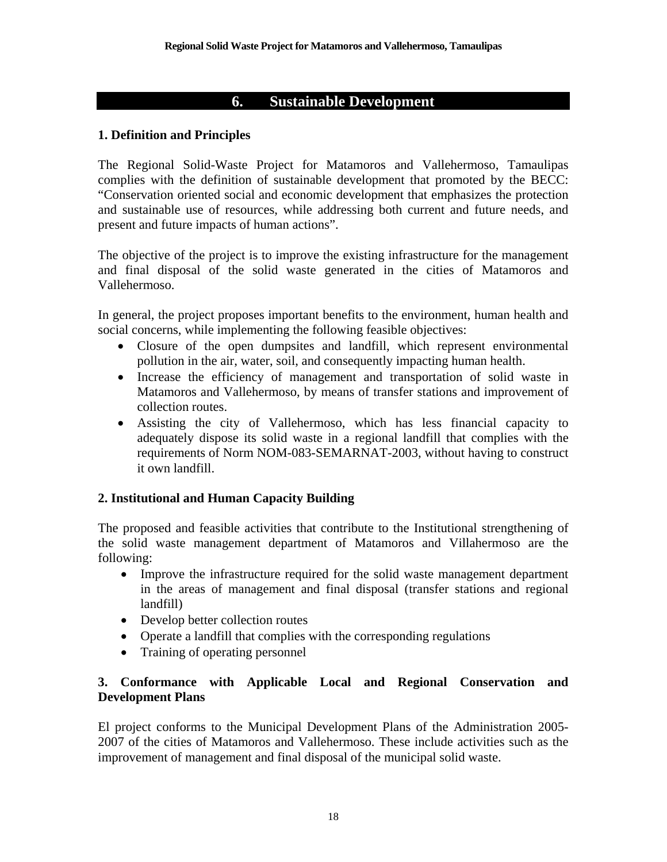## **6. Sustainable Development**

## **1. Definition and Principles**

The Regional Solid-Waste Project for Matamoros and Vallehermoso, Tamaulipas complies with the definition of sustainable development that promoted by the BECC: "Conservation oriented social and economic development that emphasizes the protection and sustainable use of resources, while addressing both current and future needs, and present and future impacts of human actions".

The objective of the project is to improve the existing infrastructure for the management and final disposal of the solid waste generated in the cities of Matamoros and Vallehermoso.

In general, the project proposes important benefits to the environment, human health and social concerns, while implementing the following feasible objectives:

- Closure of the open dumpsites and landfill, which represent environmental pollution in the air, water, soil, and consequently impacting human health.
- Increase the efficiency of management and transportation of solid waste in Matamoros and Vallehermoso, by means of transfer stations and improvement of collection routes.
- Assisting the city of Vallehermoso, which has less financial capacity to adequately dispose its solid waste in a regional landfill that complies with the requirements of Norm NOM-083-SEMARNAT-2003, without having to construct it own landfill.

#### **2. Institutional and Human Capacity Building**

The proposed and feasible activities that contribute to the Institutional strengthening of the solid waste management department of Matamoros and Villahermoso are the following:

- Improve the infrastructure required for the solid waste management department in the areas of management and final disposal (transfer stations and regional landfill)
- Develop better collection routes
- Operate a landfill that complies with the corresponding regulations
- Training of operating personnel

## **3. Conformance with Applicable Local and Regional Conservation and Development Plans**

El project conforms to the Municipal Development Plans of the Administration 2005- 2007 of the cities of Matamoros and Vallehermoso. These include activities such as the improvement of management and final disposal of the municipal solid waste.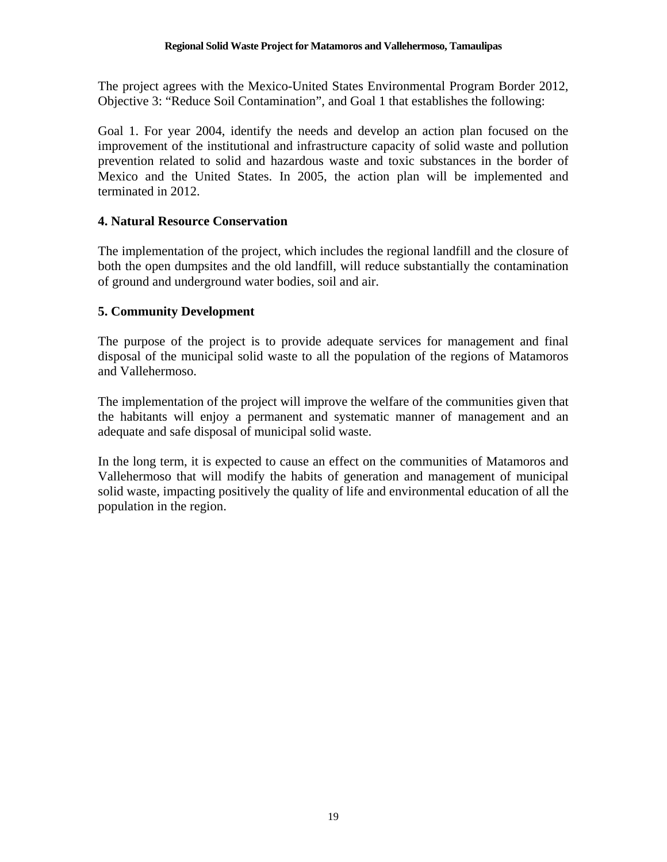The project agrees with the Mexico-United States Environmental Program Border 2012, Objective 3: "Reduce Soil Contamination", and Goal 1 that establishes the following:

Goal 1. For year 2004, identify the needs and develop an action plan focused on the improvement of the institutional and infrastructure capacity of solid waste and pollution prevention related to solid and hazardous waste and toxic substances in the border of Mexico and the United States. In 2005, the action plan will be implemented and terminated in 2012.

## **4. Natural Resource Conservation**

The implementation of the project, which includes the regional landfill and the closure of both the open dumpsites and the old landfill, will reduce substantially the contamination of ground and underground water bodies, soil and air.

## **5. Community Development**

The purpose of the project is to provide adequate services for management and final disposal of the municipal solid waste to all the population of the regions of Matamoros and Vallehermoso.

The implementation of the project will improve the welfare of the communities given that the habitants will enjoy a permanent and systematic manner of management and an adequate and safe disposal of municipal solid waste.

In the long term, it is expected to cause an effect on the communities of Matamoros and Vallehermoso that will modify the habits of generation and management of municipal solid waste, impacting positively the quality of life and environmental education of all the population in the region.